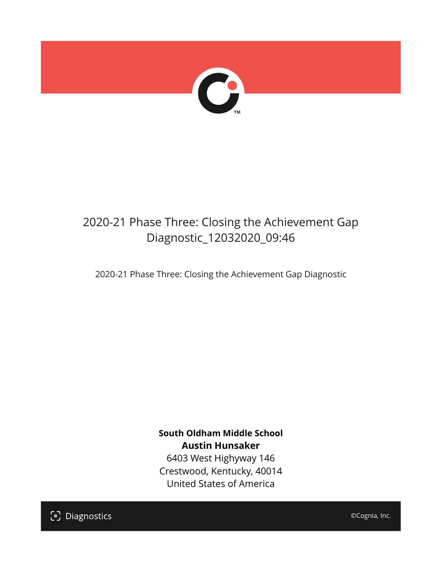

## 2020-21 Phase Three: Closing the Achievement Gap Diagnostic\_12032020\_09:46

2020-21 Phase Three: Closing the Achievement Gap Diagnostic

**South Oldham Middle School Austin Hunsaker** 6403 West Highyway 146 Crestwood, Kentucky, 40014 United States of America

[၁] Diagnostics

©Cognia, Inc.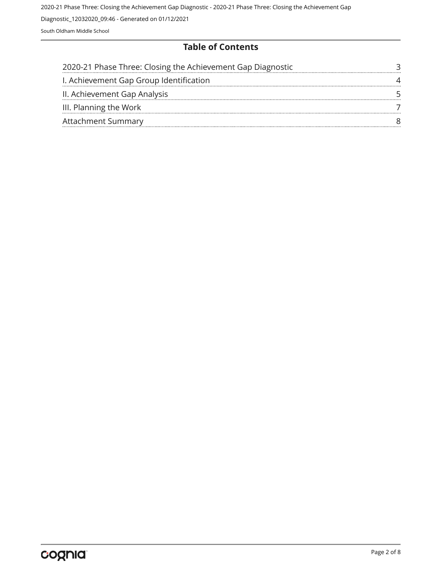#### **Table of Contents**

| 2020-21 Phase Three: Closing the Achievement Gap Diagnostic |  |
|-------------------------------------------------------------|--|
| I. Achievement Gap Group Identification                     |  |
| II. Achievement Gap Analysis                                |  |
| III. Planning the Work                                      |  |
| <b>Attachment Summary</b>                                   |  |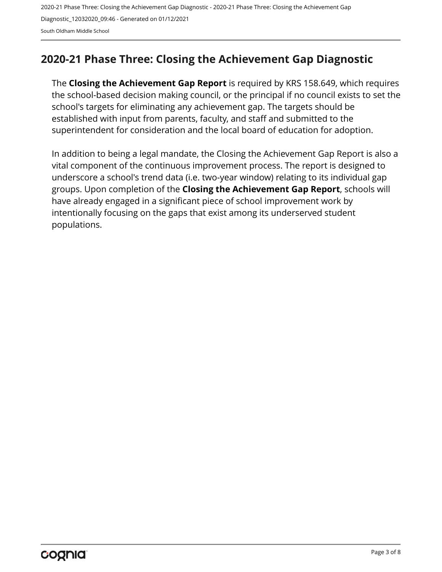## <span id="page-2-0"></span>**2020-21 Phase Three: Closing the Achievement Gap Diagnostic**

The **Closing the Achievement Gap Report** is required by KRS 158.649, which requires the school-based decision making council, or the principal if no council exists to set the school's targets for eliminating any achievement gap. The targets should be established with input from parents, faculty, and staff and submitted to the superintendent for consideration and the local board of education for adoption.

In addition to being a legal mandate, the Closing the Achievement Gap Report is also a vital component of the continuous improvement process. The report is designed to underscore a school's trend data (i.e. two-year window) relating to its individual gap groups. Upon completion of the **Closing the Achievement Gap Report**, schools will have already engaged in a significant piece of school improvement work by intentionally focusing on the gaps that exist among its underserved student populations.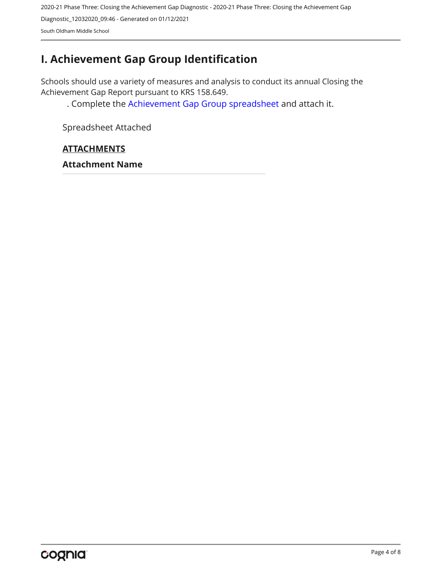## <span id="page-3-0"></span>**I. Achievement Gap Group Identification**

Schools should use a variety of measures and analysis to conduct its annual Closing the Achievement Gap Report pursuant to KRS 158.649.

. Complete the [Achievement Gap Group spreadsheet a](https://drive.google.com/file/d/0B7A6n8V1dmUOWFNKY2dSTTFibjA/view?usp=sharing)nd attach it.

Spreadsheet Attached

#### **ATTACHMENTS**

**Attachment Name**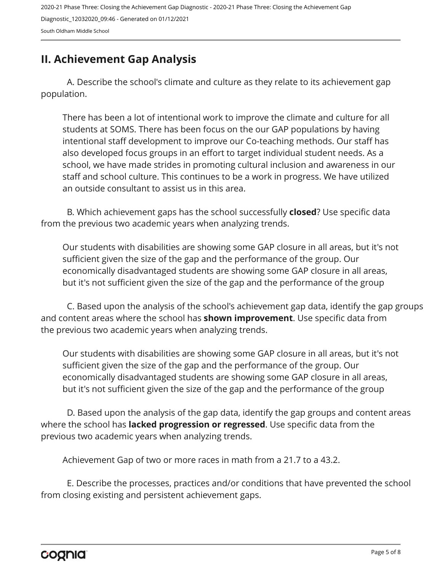## <span id="page-4-0"></span>**II. Achievement Gap Analysis**

A. Describe the school's climate and culture as they relate to its achievement gap population.

There has been a lot of intentional work to improve the climate and culture for all students at SOMS. There has been focus on the our GAP populations by having intentional staff development to improve our Co-teaching methods. Our staff has also developed focus groups in an effort to target individual student needs. As a school, we have made strides in promoting cultural inclusion and awareness in our staff and school culture. This continues to be a work in progress. We have utilized an outside consultant to assist us in this area.

B. Which achievement gaps has the school successfully **closed**? Use specific data from the previous two academic years when analyzing trends.

Our students with disabilities are showing some GAP closure in all areas, but it's not sufficient given the size of the gap and the performance of the group. Our economically disadvantaged students are showing some GAP closure in all areas, but it's not sufficient given the size of the gap and the performance of the group

C. Based upon the analysis of the school's achievement gap data, identify the gap groups and content areas where the school has **shown improvement**. Use specific data from the previous two academic years when analyzing trends.

Our students with disabilities are showing some GAP closure in all areas, but it's not sufficient given the size of the gap and the performance of the group. Our economically disadvantaged students are showing some GAP closure in all areas, but it's not sufficient given the size of the gap and the performance of the group

D. Based upon the analysis of the gap data, identify the gap groups and content areas where the school has **lacked progression or regressed**. Use specific data from the previous two academic years when analyzing trends.

Achievement Gap of two or more races in math from a 21.7 to a 43.2.

E. Describe the processes, practices and/or conditions that have prevented the school from closing existing and persistent achievement gaps.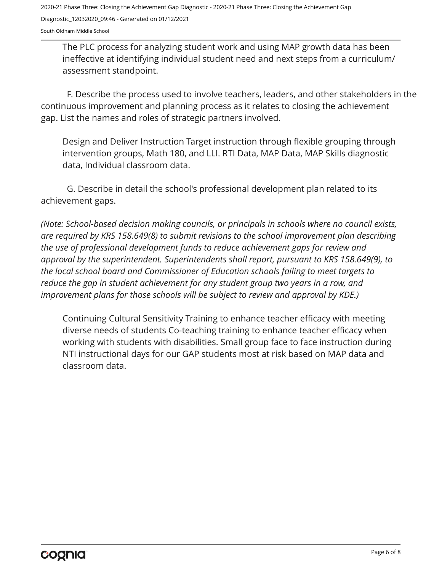The PLC process for analyzing student work and using MAP growth data has been ineffective at identifying individual student need and next steps from a curriculum/ assessment standpoint.

F. Describe the process used to involve teachers, leaders, and other stakeholders in the continuous improvement and planning process as it relates to closing the achievement gap. List the names and roles of strategic partners involved.

Design and Deliver Instruction Target instruction through flexible grouping through intervention groups, Math 180, and LLI. RTI Data, MAP Data, MAP Skills diagnostic data, Individual classroom data.

G. Describe in detail the school's professional development plan related to its achievement gaps.

*(Note: School-based decision making councils, or principals in schools where no council exists, are required by KRS 158.649(8) to submit revisions to the school improvement plan describing the use of professional development funds to reduce achievement gaps for review and approval by the superintendent. Superintendents shall report, pursuant to KRS 158.649(9), to the local school board and Commissioner of Education schools failing to meet targets to reduce the gap in student achievement for any student group two years in a row, and improvement plans for those schools will be subject to review and approval by KDE.)* 

Continuing Cultural Sensitivity Training to enhance teacher efficacy with meeting diverse needs of students Co-teaching training to enhance teacher efficacy when working with students with disabilities. Small group face to face instruction during NTI instructional days for our GAP students most at risk based on MAP data and classroom data.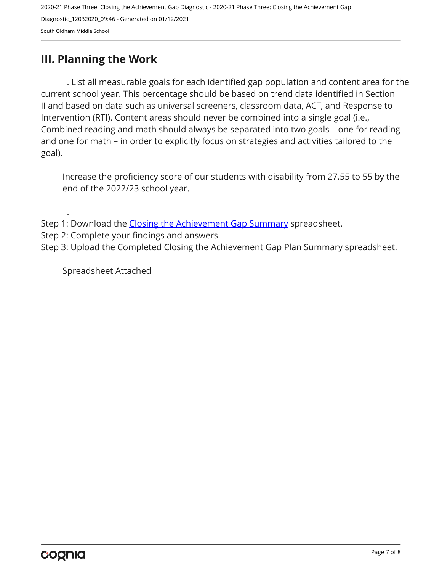### <span id="page-6-0"></span>**III. Planning the Work**

. List all measurable goals for each identified gap population and content area for the current school year. This percentage should be based on trend data identified in Section II and based on data such as universal screeners, classroom data, ACT, and Response to Intervention (RTI). Content areas should never be combined into a single goal (i.e., Combined reading and math should always be separated into two goals – one for reading and one for math – in order to explicitly focus on strategies and activities tailored to the goal).

Increase the proficiency score of our students with disability from 27.55 to 55 by the end of the 2022/23 school year.

Step 1: Download the [Closing the Achievement Gap Summary](https://drive.google.com/file/d/0B6i22i6omk4ySmUtTHZuSVRFazQ/view) spreadsheet.

Step 2: Complete your findings and answers.

Step 3: Upload the Completed Closing the Achievement Gap Plan Summary spreadsheet.

Spreadsheet Attached

.